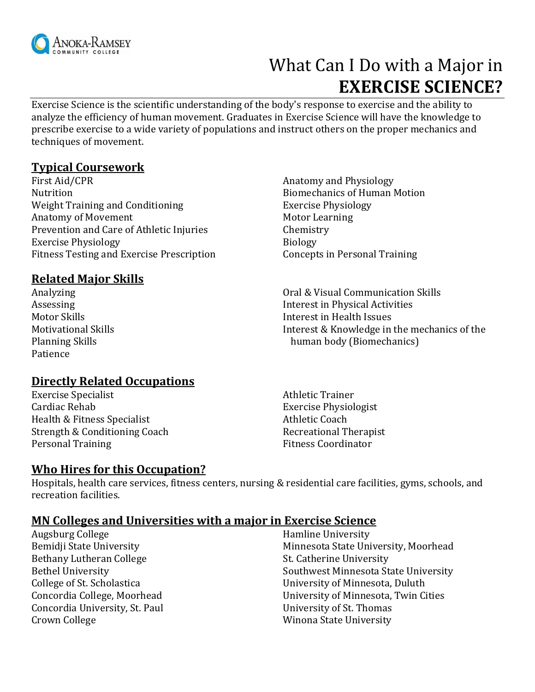

# What Can I Do with a Major in **EXERCISE SCIENCE?**

Exercise Science is the scientific understanding of the body's response to exercise and the ability to analyze the efficiency of human movement. Graduates in Exercise Science will have the knowledge to prescribe exercise to a wide variety of populations and instruct others on the proper mechanics and techniques of movement.

## **Typical Coursework**

First Aid/CPR Anatomy and Physiology Nutrition Biomechanics of Human Motion Weight Training and Conditioning Training Exercise Physiology Anatomy of Movement Motor Learning Prevention and Care of Athletic Injuries Chemistry Exercise Physiology **Biology** Biology Fitness Testing and Exercise Prescription Concepts in Personal Training

## **Related Major Skills**

Analyzing Assessing Motor Skills Motivational Skills Planning Skills Patience

# **Directly Related Occupations**

Exercise Specialist Athletic Trainer Cardiac Rehab Exercise Physiologist Health & Fitness Specialist Athletic Coach Strength & Conditioning Coach Recreational Therapist Personal Training Fitness Coordinator

#### **Who Hires for this Occupation?**

Oral & Visual Communication Skills Interest in Physical Activities Interest in Health Issues Interest & Knowledge in the mechanics of the human body (Biomechanics)

Hospitals, health care services, fitness centers, nursing & residential care facilities, gyms, schools, and recreation facilities.

#### **MN Colleges and Universities with a major in Exercise Science**

Augsburg College Bemidji State University Bethany Lutheran College Bethel University College of St. Scholastica Concordia College, Moorhead Concordia University, St. Paul Crown College

Hamline University Minnesota State University, Moorhead St. Catherine University Southwest Minnesota State University University of Minnesota, Duluth University of Minnesota, Twin Cities University of St. Thomas Winona State University